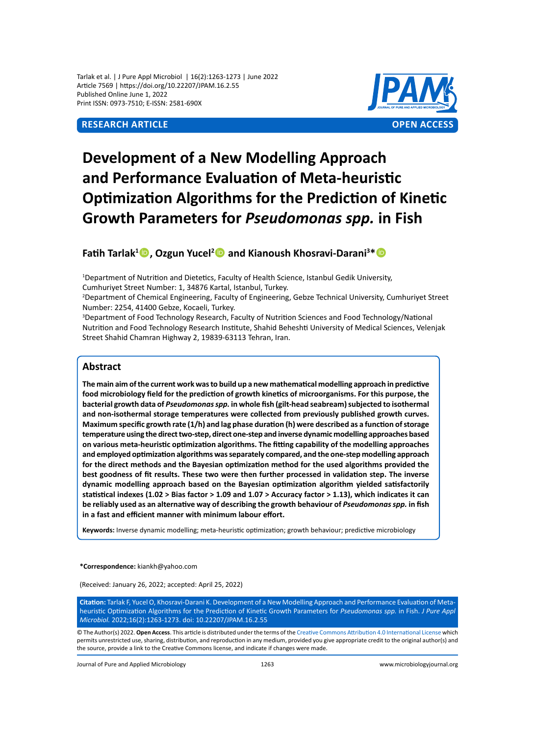Tarlak et al. | J Pure Appl Microbiol | 16(2):1263-1273 | June 2022 Article 7569 | https://doi.org/10.22207/JPAM.16.2.55 Published Online June 1, 2022 Print ISSN: 0973-7510; E-ISSN: 2581-690X

# **Research Article OPEN ACCESS**



# **Development of a New Modelling Approach and Performance Evaluation of Meta-heuristic Optimization Algorithms for the Prediction of Kinetic Growth Parameters for** *Pseudomonas spp.* **in Fish**

# **Fatih Tarlak<sup>1</sup> , Ozgun Yucel<sup>2</sup> and Kianoush Khosravi-Darani<sup>3</sup> \***

1 Department of Nutrition and Dietetics, Faculty of Health Science, Istanbul Gedik University, Cumhuriyet Street Number: 1, 34876 Kartal, Istanbul, Turkey.

2 Department of Chemical Engineering, Faculty of Engineering, Gebze Technical University, Cumhuriyet Street Number: 2254, 41400 Gebze, Kocaeli, Turkey.

3 Department of Food Technology Research, Faculty of Nutrition Sciences and Food Technology/National Nutrition and Food Technology Research Institute, Shahid Beheshti University of Medical Sciences, Velenjak Street Shahid Chamran Highway 2, 19839-63113 Tehran, Iran.

# **Abstract**

**The main aim of the current work was to build up a new mathematical modelling approach in predictive food microbiology field for the prediction of growth kinetics of microorganisms. For this purpose, the bacterial growth data of** *Pseudomonas spp.* **in whole fish (gilt-head seabream) subjected to isothermal and non-isothermal storage temperatures were collected from previously published growth curves. Maximum specific growth rate (1/h) and lag phase duration (h) were described as a function of storage temperature using the direct two-step, direct one-step and inverse dynamic modelling approaches based on various meta-heuristic optimization algorithms. The fitting capability of the modelling approaches and employed optimization algorithms was separately compared, and the one-step modelling approach for the direct methods and the Bayesian optimization method for the used algorithms provided the best goodness of fit results. These two were then further processed in validation step. The inverse dynamic modelling approach based on the Bayesian optimization algorithm yielded satisfactorily statistical indexes (1.02 > Bias factor > 1.09 and 1.07 > Accuracy factor > 1.13), which indicates it can be reliably used as an alternative way of describing the growth behaviour of** *Pseudomonas spp.* **in fish in a fast and efficient manner with minimum labour effort.**

**Keywords:** Inverse dynamic modelling; meta-heuristic optimization; growth behaviour; predictive microbiology

**\*Correspondence:** kiankh@yahoo.com

(Received: January 26, 2022; accepted: April 25, 2022)

**Citation:** Tarlak F, Yucel O, Khosravi-Darani K. Development of a New Modelling Approach and Performance Evaluation of Metaheuristic Optimization Algorithms for the Prediction of Kinetic Growth Parameters for *Pseudomonas spp.* in Fish. *J Pure Appl Microbiol.* 2022;16(2):1263-1273. doi: 10.22207/JPAM.16.2.55

© The Author(s) 2022. **Open Access**. This article is distributed under the terms of the [Creative Commons Attribution 4.0 International License](https://creativecommons.org/licenses/by/4.0/) which permits unrestricted use, sharing, distribution, and reproduction in any medium, provided you give appropriate credit to the original author(s) and the source, provide a link to the Creative Commons license, and indicate if changes were made.

Journal of Pure and Applied Microbiology 1263 www.microbiologyjournal.org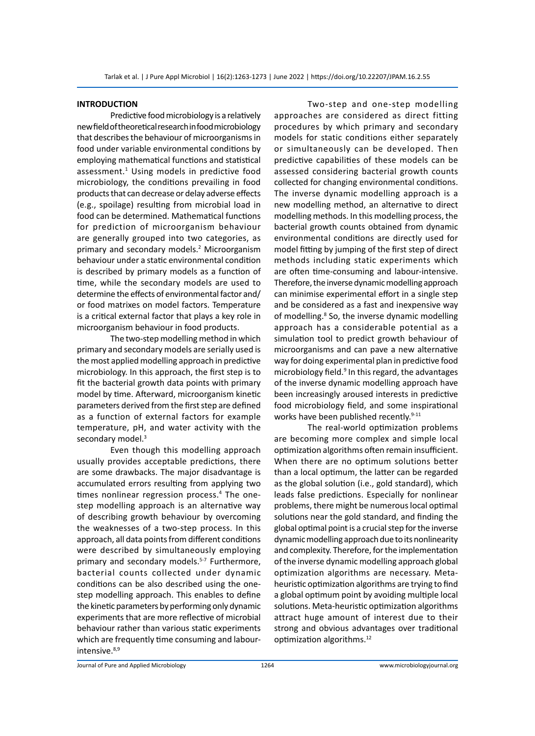# **INTRODUCTION**

Predictive food microbiology is a relatively new field of theoretical research in food microbiology that describes the behaviour of microorganisms in food under variable environmental conditions by employing mathematical functions and statistical assessment.<sup>1</sup> Using models in predictive food microbiology, the conditions prevailing in food products that can decrease or delay adverse effects (e.g., spoilage) resulting from microbial load in food can be determined. Mathematical functions for prediction of microorganism behaviour are generally grouped into two categories, as primary and secondary models.<sup>2</sup> Microorganism behaviour under a static environmental condition is described by primary models as a function of time, while the secondary models are used to determine the effects of environmental factor and/ or food matrixes on model factors. Temperature is a critical external factor that plays a key role in microorganism behaviour in food products.

The two-step modelling method in which primary and secondary models are serially used is the most applied modelling approach in predictive microbiology. In this approach, the first step is to fit the bacterial growth data points with primary model by time. Afterward, microorganism kinetic parameters derived from the first step are defined as a function of external factors for example temperature, pH, and water activity with the secondary model.<sup>3</sup>

Even though this modelling approach usually provides acceptable predictions, there are some drawbacks. The major disadvantage is accumulated errors resulting from applying two times nonlinear regression process.<sup>4</sup> The onestep modelling approach is an alternative way of describing growth behaviour by overcoming the weaknesses of a two-step process. In this approach, all data points from different conditions were described by simultaneously employing primary and secondary models.<sup>5-7</sup> Furthermore, bacterial counts collected under dynamic conditions can be also described using the onestep modelling approach. This enables to define the kinetic parameters by performing only dynamic experiments that are more reflective of microbial behaviour rather than various static experiments which are frequently time consuming and labourintensive.<sup>8,9</sup>

Two-step and one-step modelling approaches are considered as direct fitting procedures by which primary and secondary models for static conditions either separately or simultaneously can be developed. Then predictive capabilities of these models can be assessed considering bacterial growth counts collected for changing environmental conditions. The inverse dynamic modelling approach is a new modelling method, an alternative to direct modelling methods. In this modelling process, the bacterial growth counts obtained from dynamic environmental conditions are directly used for model fitting by jumping of the first step of direct methods including static experiments which are often time-consuming and labour-intensive. Therefore, the inverse dynamic modelling approach can minimise experimental effort in a single step and be considered as a fast and inexpensive way of modelling.<sup>8</sup> So, the inverse dynamic modelling approach has a considerable potential as a simulation tool to predict growth behaviour of microorganisms and can pave a new alternative way for doing experimental plan in predictive food microbiology field.<sup>9</sup> In this regard, the advantages of the inverse dynamic modelling approach have been increasingly aroused interests in predictive food microbiology field, and some inspirational works have been published recently.<sup>9-11</sup>

The real-world optimization problems are becoming more complex and simple local optimization algorithms often remain insufficient. When there are no optimum solutions better than a local optimum, the latter can be regarded as the global solution (i.e., gold standard), which leads false predictions. Especially for nonlinear problems, there might be numerous local optimal solutions near the gold standard, and finding the global optimal point is a crucial step for the inverse dynamic modelling approach due to its nonlinearity and complexity. Therefore, for the implementation of the inverse dynamic modelling approach global optimization algorithms are necessary. Metaheuristic optimization algorithms are trying to find a global optimum point by avoiding multiple local solutions. Meta-heuristic optimization algorithms attract huge amount of interest due to their strong and obvious advantages over traditional optimization algorithms.12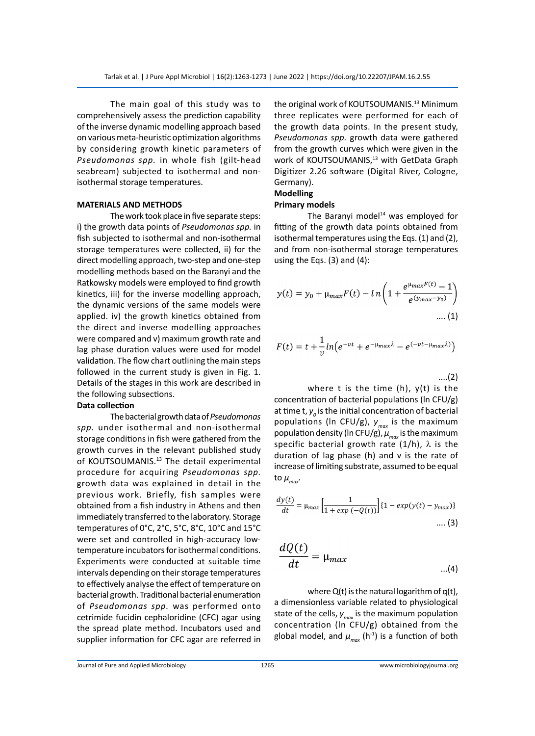The main goal of this study was to comprehensively assess the prediction capability of the inverse dynamic modelling approach based on various meta-heuristic optimization algorithms by considering growth kinetic parameters of *Pseudomonas spp.* in whole fish (gilt-head seabream) subjected to isothermal and nonisothermal storage temperatures.

# **MATERIALS AND METHODS**

The work took place in five separate steps: i) the growth data points of *Pseudomonas spp.* in fish subjected to isothermal and non-isothermal storage temperatures were collected, ii) for the direct modelling approach, two-step and one-step modelling methods based on the Baranyi and the Ratkowsky models were employed to find growth kinetics, iii) for the inverse modelling approach, the dynamic versions of the same models were applied. iv) the growth kinetics obtained from the direct and inverse modelling approaches were compared and v) maximum growth rate and lag phase duration values were used for model validation. The flow chart outlining the main steps followed in the current study is given in Fig. 1. Details of the stages in this work are described in the following subsections.

# **Data collection**

The bacterial growth data of *Pseudomonas spp.* under isothermal and non-isothermal storage conditions in fish were gathered from the growth curves in the relevant published study of KOUTSOUMANIS.<sup>13</sup> The detail experimental procedure for acquiring *Pseudomonas spp.* growth data was explained in detail in the previous work. Briefly, fish samples were obtained from a fish industry in Athens and then immediately transferred to the laboratory. Storage temperatures of 0°C, 2°C, 5°C, 8°C, 10°C and 15°C were set and controlled in high-accuracy lowtemperature incubators for isothermal conditions. Experiments were conducted at suitable time intervals depending on their storage temperatures to effectively analyse the effect of temperature on bacterial growth. Traditional bacterial enumeration of *Pseudomonas spp.* was performed onto cetrimide fucidin cephaloridine (CFC) agar using the spread plate method. Incubators used and supplier information for CFC agar are referred in the original work of KOUTSOUMANIS.<sup>13</sup> Minimum three replicates were performed for each of the growth data points. In the present study, *Pseudomonas spp.* growth data were gathered from the growth curves which were given in the work of KOUTSOUMANIS,<sup>13</sup> with GetData Graph Digitizer 2.26 software (Digital River, Cologne, Germany).

# **Modelling**

# **Primary models**

The Baranyi model $14$  was employed for fitting of the growth data points obtained from isothermal temperatures using the Eqs. (1) and (2), and from non-isothermal storage temperatures using the Eqs. (3) and (4):

$$
y(t) = y_0 + \mu_{max} F(t) - ln\left(1 + \frac{e^{\mu_{max}F(t)} - 1}{e^{(y_{max} - y_0)}}\right)
$$
  
.... (1)

$$
F(t) = t + \frac{1}{\nu} \ln \left( e^{-\nu t} + e^{-\mu_{max} \lambda} - e^{(-\nu t - \mu_{max} \lambda)} \right)
$$

....(2)

where t is the time (h),  $y(t)$  is the concentration of bacterial populations (ln CFU/g) at time t,  $y^{\vphantom{\dagger}}_{o}$  is the initial concentration of bacterial populations (ln CFU/g), *ymax* is the maximum population density (In CFU/g),  $\mu_{max}$  is the maximum specific bacterial growth rate  $(1/h)$ ,  $\lambda$  is the duration of lag phase (h) and v is the rate of increase of limiting substrate, assumed to be equal to  $\mu_{\text{max}}$ .

$$
\frac{dy(t)}{dt} = \mu_{max} \left[ \frac{1}{1 + exp(-Q(t))} \right] \{1 - exp(y(t) - y_{max})\}
$$
.... (3)

$$
\frac{dQ(t)}{dt} = \mu_{max} \qquad ...(4)
$$

where Q(t) is the natural logarithm of q(t), a dimensionless variable related to physiological state of the cells,  $y_{max}$  is the maximum population concentration (ln CFU/g) obtained from the global model, and  $\mu_{max}$  (h<sup>-1</sup>) is a function of both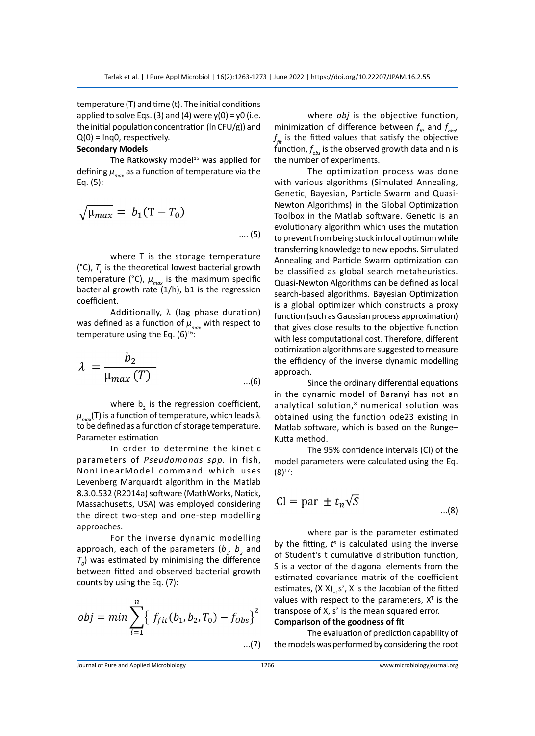temperature (T) and time (t). The initial conditions applied to solve Eqs. (3) and (4) were  $y(0) = y0$  (i.e. the initial population concentration (ln CFU/g)) and  $Q(0)$  =  $Inq0$ , respectively.

## **Secondary Models**

The Ratkowsky model<sup>15</sup> was applied for defining  $\mu_{max}$  as a function of temperature via the Eq. (5):

$$
\sqrt{\mu_{max}} = b_1(T - T_0)
$$
\n
$$
\dots (5)
$$

where T is the storage temperature ( $^{\circ}$ C),  $T_{o}$  is the theoretical lowest bacterial growth temperature (°C),  $\mu_{max}$  is the maximum specific bacterial growth rate (1/h), b1 is the regression coefficient.

Additionally, λ (lag phase duration) was defined as a function of  $\mu_{\text{max}}$  with respect to temperature using the Eq.  $(6)^{16}$ :

$$
\lambda = \frac{b_2}{\mu_{max}(T)} \qquad \qquad \dots (6)
$$

where  $b_2$  is the regression coefficient,  $\mu_{\text{max}}(T)$  is a function of temperature, which leads  $\lambda$ to be defined as a function of storage temperature. Parameter estimation

In order to determine the kinetic parameters of *Pseudomonas spp.* in fish, NonLinearModel command which uses Levenberg Marquardt algorithm in the Matlab 8.3.0.532 (R2014a) software (MathWorks, Natick, Massachusetts, USA) was employed considering the direct two-step and one-step modelling approaches.

For the inverse dynamic modelling approach, each of the parameters  $(b_{1}, b_{2})$  and  $T_o$ ) was estimated by minimising the difference between fitted and observed bacterial growth counts by using the Eq. (7):

$$
obj = min \sum_{i=1}^{n} \{ f_{fit}(b_1, b_2, T_0) - f_{Obs} \}^2
$$
...(7)

where *obj* is the objective function, minimization of difference between  $f_{\scriptscriptstyle\it{fit}}$  and  $f_{\scriptscriptstyle\it{obs'}}$  $f_{\scriptscriptstyle\it fit}$  is the fitted values that satisfy the objective  $\mathsf{function}, f_{\scriptscriptstyle{obs}}$  is the observed growth data and  $\mathsf n$  is the number of experiments.

The optimization process was done with various algorithms (Simulated Annealing, Genetic, Bayesian, Particle Swarm and Quasi-Newton Algorithms) in the Global Optimization Toolbox in the Matlab software. Genetic is an evolutionary algorithm which uses the mutation to prevent from being stuck in local optimum while transferring knowledge to new epochs. Simulated Annealing and Particle Swarm optimization can be classified as global search metaheuristics. Quasi-Newton Algorithms can be defined as local search-based algorithms. Bayesian Optimization is a global optimizer which constructs a proxy function (such as Gaussian process approximation) that gives close results to the objective function with less computational cost. Therefore, different optimization algorithms are suggested to measure the efficiency of the inverse dynamic modelling approach.

Since the ordinary differential equations in the dynamic model of Baranyi has not an analytical solution,<sup>8</sup> numerical solution was obtained using the function ode23 existing in Matlab software, which is based on the Runge– Kutta method.

The 95% confidence intervals (CI) of the model parameters were calculated using the Eq.  $(8)^{17}$ :

$$
Cl = par \pm t_n \sqrt{S}
$$
...(8)

where par is the parameter estimated by the fitting,  $t^n$  is calculated using the inverse of Student's t cumulative distribution function, S is a vector of the diagonal elements from the estimated covariance matrix of the coefficient estimates,  $(X^{T}X)_{-1}s^{2}$ , X is the Jacobian of the fitted values with respect to the parameters,  $X<sup>T</sup>$  is the transpose of X,  $s^2$  is the mean squared error.

**Comparison of the goodness of fit**

The evaluation of prediction capability of the models was performed by considering the root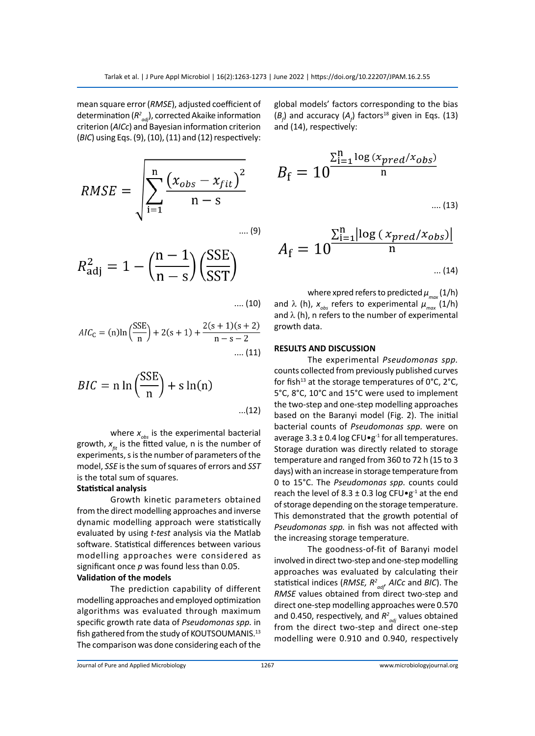mean square error (*RMSE*), adjusted coefficient of determination (*R2 adj*), corrected Akaike information criterion (*AICc*) and Bayesian information criterion (*BIC*) using Eqs. (9), (10), (11) and (12) respectively:

RMSE = 
$$
\sqrt{\sum_{i=1}^{n} \frac{(x_{obs} - x_{fit})^2}{n - s}}
$$
 .... (9)

$$
R_{\text{adj}}^2 = 1 - \left(\frac{n-1}{n-s}\right) \left(\frac{\text{SSE}}{\text{SST}}\right)
$$

.... (10)

$$
AIC_{C} = (n) \ln \left( \frac{SSE}{n} \right) + 2(s+1) + \frac{2(s+1)(s+2)}{n-s-2}
$$
  
.... (11)

$$
BIC = n \ln \left(\frac{\text{SSE}}{n}\right) + s \ln(n) \qquad \qquad \dots (12)
$$

where  $x_{obs}$  is the experimental bacterial growth,  $x_{\epsilon i}$  is the fitted value, n is the number of experiments, s is the number of parameters of the model, *SSE* is the sum of squares of errors and *SST* is the total sum of squares.

## **Statistical analysis**

Growth kinetic parameters obtained from the direct modelling approaches and inverse dynamic modelling approach were statistically evaluated by using *t-test* analysis via the Matlab software. Statistical differences between various modelling approaches were considered as significant once *p* was found less than 0.05.

# **Validation of the models**

The prediction capability of different modelling approaches and employed optimization algorithms was evaluated through maximum specific growth rate data of *Pseudomonas spp.* in fish gathered from the study of KOUTSOUMANIS.<sup>13</sup> The comparison was done considering each of the global models' factors corresponding to the bias  $(B<sub>f</sub>)$  and accuracy ( $A<sub>f</sub>$ ) factors<sup>18</sup> given in Eqs. (13) and (14), respectively:

$$
B_{\rm f} = 10^{\frac{\sum_{\rm i=1}^{\rm n} \log{(x_{pred}/x_{obs})}}{\rm n}}
$$

$$
.... (13)
$$

$$
A_{\rm f} = 10^{\frac{\sum_{\rm i=1}^{\rm n} \left| \log\left(\frac{x_{pred}/x_{obs}\right)\right|}{\rm n}}{n}}
$$

where xpred refers to predicted  $\mu_{max}(1/h)$ and  $\lambda$  (h),  $x_{obs}$  refers to experimental  $\mu_{max}$  (1/h) and  $\lambda$  (h), n refers to the number of experimental growth data.

## **RESULTS AND DISCUSSION**

The experimental *Pseudomonas spp.* counts collected from previously published curves for fish<sup>13</sup> at the storage temperatures of  $0^{\circ}$ C,  $2^{\circ}$ C, 5°C, 8°C, 10°C and 15°C were used to implement the two-step and one-step modelling approaches based on the Baranyi model (Fig. 2). The initial bacterial counts of *Pseudomonas spp.* were on average  $3.3 \pm 0.4$  log CFU $\cdot$ g<sup>-1</sup> for all temperatures. Storage duration was directly related to storage temperature and ranged from 360 to 72 h (15 to 3 days) with an increase in storage temperature from 0 to 15°C. The *Pseudomonas spp.* counts could reach the level of  $8.3 \pm 0.3$  log CFU $\cdot$ g<sup>-1</sup> at the end of storage depending on the storage temperature. This demonstrated that the growth potential of *Pseudomonas spp.* in fish was not affected with the increasing storage temperature.

The goodness-of-fit of Baranyi model involved in direct two-step and one-step modelling approaches was evaluated by calculating their statistical indices (*RMSE, R2 adj, AICc* and *BIC*). The *RMSE* values obtained from direct two-step and direct one-step modelling approaches were 0.570 and 0.450, respectively, and  $R^2_{adj}$  values obtained from the direct two-step and direct one-step modelling were 0.910 and 0.940, respectively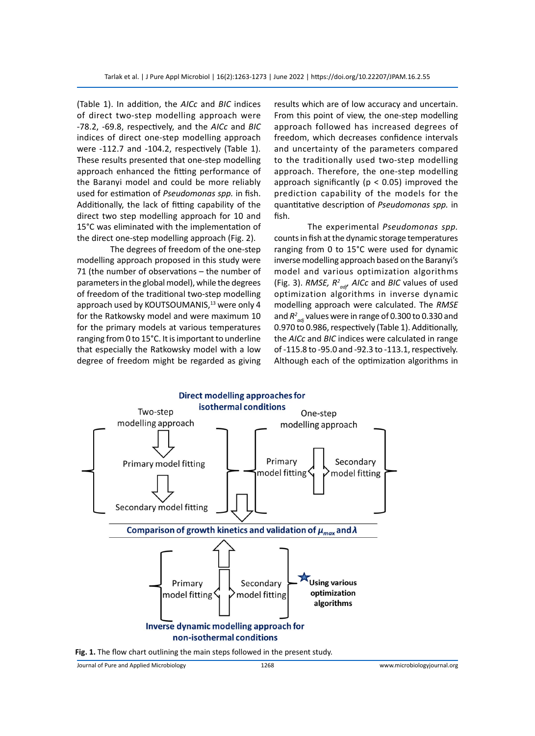(Table 1). In addition, the *AICc* and *BIC* indices of direct two-step modelling approach were -78.2, -69.8, respectively, and the *AICc* and *BIC* indices of direct one-step modelling approach were -112.7 and -104.2, respectively (Table 1). These results presented that one-step modelling approach enhanced the fitting performance of the Baranyi model and could be more reliably used for estimation of *Pseudomonas spp.* in fish. Additionally, the lack of fitting capability of the direct two step modelling approach for 10 and 15°C was eliminated with the implementation of the direct one-step modelling approach (Fig. 2).

The degrees of freedom of the one-step modelling approach proposed in this study were 71 (the number of observations – the number of parameters in the global model), while the degrees of freedom of the traditional two-step modelling approach used by KOUTSOUMANIS,<sup>13</sup> were only 4 for the Ratkowsky model and were maximum 10 for the primary models at various temperatures ranging from 0 to 15°C. It is important to underline that especially the Ratkowsky model with a low degree of freedom might be regarded as giving results which are of low accuracy and uncertain. From this point of view, the one-step modelling approach followed has increased degrees of freedom, which decreases confidence intervals and uncertainty of the parameters compared to the traditionally used two-step modelling approach. Therefore, the one-step modelling approach significantly ( $p < 0.05$ ) improved the prediction capability of the models for the quantitative description of *Pseudomonas spp.* in fish.

The experimental *Pseudomonas spp.* counts in fish at the dynamic storage temperatures ranging from 0 to 15°C were used for dynamic inverse modelling approach based on the Baranyi's model and various optimization algorithms (Fig. 3). *RMSE, R2 adj, AICc* and *BIC* values of used optimization algorithms in inverse dynamic modelling approach were calculated. The *RMSE* and  $R^2_{\;\;adj}$  values were in range of 0.300 to 0.330 and 0.970 to 0.986, respectively (Table 1). Additionally, the *AICc* and *BIC* indices were calculated in range of -115.8 to -95.0 and -92.3 to -113.1, respectively. Although each of the optimization algorithms in





Journal of Pure and Applied Microbiology 1268 www.microbiologyjournal.org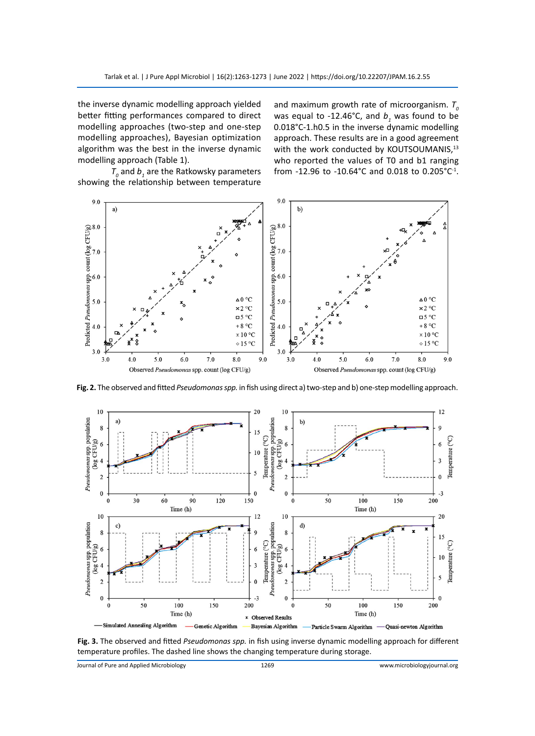the inverse dynamic modelling approach yielded better fitting performances compared to direct modelling approaches (two-step and one-step modelling approaches), Bayesian optimization algorithm was the best in the inverse dynamic modelling approach (Table 1).

and maximum growth rate of microorganism.  $T_{\text{o}}$ was equal to -12.46°C, and  $b<sub>1</sub>$  was found to be 0.018°C-1.h0.5 in the inverse dynamic modelling approach. These results are in a good agreement with the work conducted by KOUTSOUMANIS,<sup>13</sup> who reported the values of T0 and b1 ranging from -12.96 to -10.64°C and 0.018 to 0.205°C<sup>-1</sup>.

 $T_o$  and  $b_1$  are the Ratkowsky parameters showing the relationship between temperature



**Fig. 2.** The observed and fitted *Pseudomonas spp.* in fish using direct a) two-step and b) one-step modelling approach.



**Fig. 3.** The observed and fitted *Pseudomonas spp.* in fish using inverse dynamic modelling approach for different temperature profiles. The dashed line shows the changing temperature during storage.

Journal of Pure and Applied Microbiology 1269 www.microbiologyjournal.org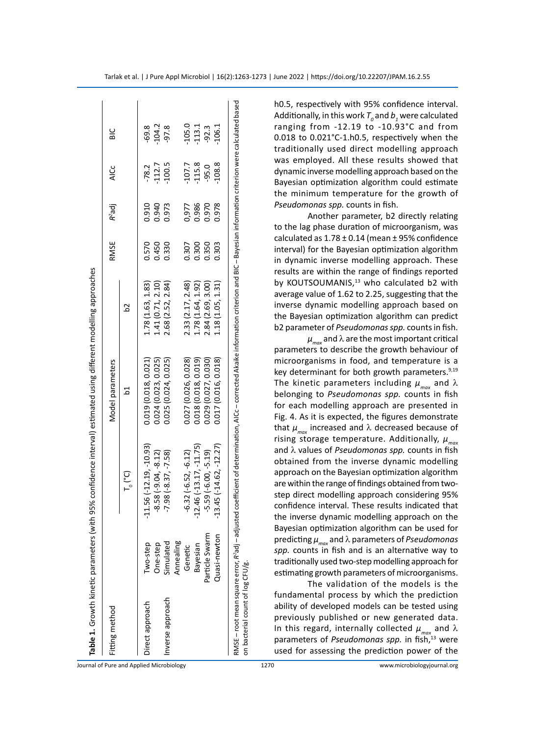| Fitting method   |                |                          | Model parameters     |                   | RMSE  | $R^2$ adj | ن<br>آ   | ں<br>ھ   |
|------------------|----------------|--------------------------|----------------------|-------------------|-------|-----------|----------|----------|
|                  |                | $T_{\circ}$ (°C)         | 2                    |                   |       |           |          |          |
| Direct approach  | Two-step       | $-11.56(-12.19, -10.93)$ | 0.019 (0.018, 0.021) | 1.78 (1.63, 1.83) | 0.570 | 0.910     | $-78.2$  | $-69.8$  |
|                  | One-step       | $-8.58(-9.04, -8.12)$    | 0.024(0.023, 0.025)  | 1.41 (0.71, 2.10) | 0.450 | 0.940     | $-112.7$ | $-104.2$ |
| Inverse approach | Simulated      | $-7.98(-8.37, -7.58)$    | 0.025(0.024, 0.025)  | 2.68 (2.52, 2.84) | 0.330 | 0.973     | $-100.5$ | $-97.8$  |
|                  | Annealing      |                          |                      |                   |       |           |          |          |
|                  | Genetic        | $-6.32(-6.52, -6.12)$    | 0.027 (0.026, 0.028) | 2.33(2.17, 2.48)  | 0.307 | 0,977     | $-107.7$ | $-105.0$ |
|                  | Bayesian       | $-12.46(-13.17,-11.75)$  | 0.018(0.018, 0.019)  | 1.78 (1.64, 1.92) | 0.300 | 0.986     | $-115.8$ | $-113.1$ |
|                  | Particle Swarm | $-5.59(-6.00, -5.19)$    | 0.029 (0.027, 0.030) | 2.84 (2.69, 3.00) | 0.350 | 0.970     | $-95.0$  | $-92.3$  |
|                  | Quasi-newton   | $13.45$ (-14.62, -12.27) | 0.017 (0.016, 0.018) | 1.18(1.05, 1.31)  | 0.303 | 0.978     | $-108.8$ | 106.1    |

h0.5, respectively with 95% confidence interval. Additionally, in this work  $T_o$  and  $b_{_I}$  were calculated ranging from -12.19 to -10.93°C and from 0.018 to 0.021°C-1.h0.5, respectively when the traditionally used direct modelling approach was employed. All these results showed that dynamic inverse modelling approach based on the Bayesian optimization algorithm could estimate the minimum temperature for the growth of *Pseudomonas spp.* counts in fish.

Another parameter, b2 directly relating to the lag phase duration of microorganism, was calculated as  $1.78 \pm 0.14$  (mean  $\pm$  95% confidence interval) for the Bayesian optimization algorithm in dynamic inverse modelling approach. These results are within the range of findings reported by KOUTSOUMANIS,<sup>13</sup> who calculated b2 with average value of 1.62 to 2.25, suggesting that the inverse dynamic modelling approach based on the Bayesian optimization algorithm can predict b2 parameter of *Pseudomonas spp.* counts in fish.

 $\mu_{\text{max}}$  and  $\lambda$  are the most important critical parameters to describe the growth behaviour of microorganisms in food, and temperature is a key determinant for both growth parameters.<sup>9,19</sup> The kinetic parameters including  $\mu_{\scriptscriptstyle max}^{}$  and  $\lambda$ belonging to *Pseudomonas spp.* counts in fish for each modelling approach are presented in Fig. 4. As it is expected, the figures demonstrate that  $\mu_{\scriptscriptstyle \sf max}^{}$  increased and  $\lambda$  decreased because of rising storage temperature. Additionally, *µmax* and λ values of *Pseudomonas spp.* counts in fish obtained from the inverse dynamic modelling approach on the Bayesian optimization algorithm are within the range of findings obtained from twostep direct modelling approach considering 95% confidence interval. These results indicated that the inverse dynamic modelling approach on the Bayesian optimization algorithm can be used for predicting *µmax* and λ parameters of *Pseudomonas spp.* counts in fish and is an alternative way to traditionally used two-step modelling approach for estimating growth parameters of microorganisms.

The validation of the models is the fundamental process by which the prediction ability of developed models can be tested using previously published or new generated data. In this regard, internally collected  $\mu_{\scriptscriptstyle max}$  and  $\lambda$ parameters of *Pseudomonas spp.* in fish,<sup>13</sup> were used for assessing the prediction power of the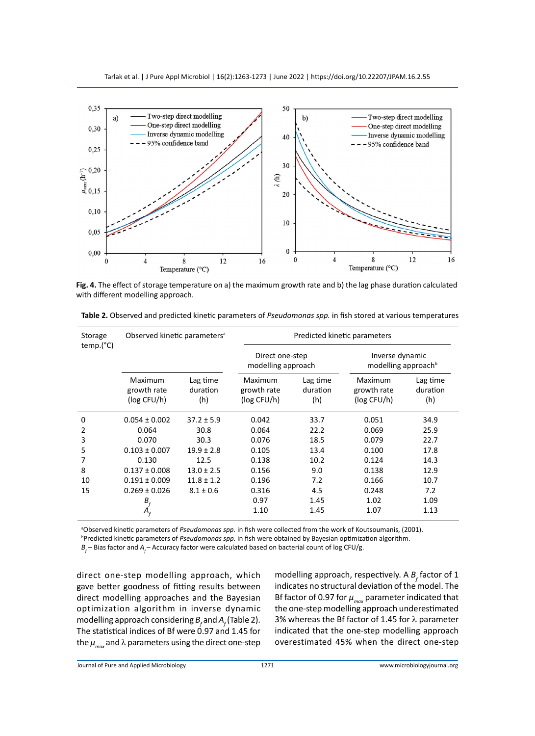

**Fig. 4.** The effect of storage temperature on a) the maximum growth rate and b) the lag phase duration calculated with different modelling approach.

| Storage<br>temp.(°C) | Observed kinetic parameters <sup>a</sup> |                             | Predicted kinetic parameters          |                             |                                                    |                             |
|----------------------|------------------------------------------|-----------------------------|---------------------------------------|-----------------------------|----------------------------------------------------|-----------------------------|
|                      |                                          |                             | Direct one-step<br>modelling approach |                             | Inverse dynamic<br>modelling approach <sup>b</sup> |                             |
|                      | Maximum<br>growth rate<br>(log CFU/h)    | Lag time<br>duration<br>(h) | Maximum<br>growth rate<br>(log CFU/h) | Lag time<br>duration<br>(h) | Maximum<br>growth rate<br>(log CFU/h)              | Lag time<br>duration<br>(h) |
| 0                    | $0.054 \pm 0.002$                        | $37.2 \pm 5.9$              | 0.042                                 | 33.7                        | 0.051                                              | 34.9                        |
| 2                    | 0.064                                    | 30.8                        | 0.064                                 | 22.2                        | 0.069                                              | 25.9                        |
| 3                    | 0.070                                    | 30.3                        | 0.076                                 | 18.5                        | 0.079                                              | 22.7                        |
| 5                    | $0.103 \pm 0.007$                        | $19.9 \pm 2.8$              | 0.105                                 | 13.4                        | 0.100                                              | 17.8                        |
| 7                    | 0.130                                    | 12.5                        | 0.138                                 | 10.2                        | 0.124                                              | 14.3                        |
| 8                    | $0.137 \pm 0.008$                        | $13.0 \pm 2.5$              | 0.156                                 | 9.0                         | 0.138                                              | 12.9                        |
| 10                   | $0.191 \pm 0.009$                        | $11.8 \pm 1.2$              | 0.196                                 | 7.2                         | 0.166                                              | 10.7                        |
| 15                   | $0.269 \pm 0.026$                        | $8.1 \pm 0.6$               | 0.316                                 | 4.5                         | 0.248                                              | 7.2                         |
|                      | $B_f^{\prime}$                           |                             | 0.97                                  | 1.45                        | 1.02                                               | 1.09                        |
|                      | $A_{\scriptscriptstyle{f}}$              |                             | 1.10                                  | 1.45                        | 1.07                                               | 1.13                        |

**Table 2.** Observed and predicted kinetic parameters of *Pseudomonas spp.* in fish stored at various temperatures

<sup>a</sup>Observed kinetic parameters of *Pseudomonas spp.* in fish were collected from the work of Koutsoumanis, (2001).<br><sup>bprodicted kinetic parameters of *Pseudomongs spp*. in fish were obtained by Bayesian ontimization algorit</sup>

Predicted kinetic parameters of *Pseudomonas spp.* in fish were obtained by Bayesian optimization algorithm.

 $B_f$  – Bias factor and  $A_f$  – Accuracy factor were calculated based on bacterial count of log CFU/g.

direct one-step modelling approach, which gave better goodness of fitting results between direct modelling approaches and the Bayesian optimization algorithm in inverse dynamic modelling approach considering  $B_f$  and  $A_f$  (Table 2). The statistical indices of Bf were 0.97 and 1.45 for the  $\mu_{max}$  and  $\lambda$  parameters using the direct one-step

modelling approach, respectively. A  $B_f$  factor of 1 indicates no structural deviation of the model. The Bf factor of 0.97 for  $\mu_{max}$  parameter indicated that the one-step modelling approach underestimated 3% whereas the Bf factor of 1.45 for λ parameter indicated that the one-step modelling approach overestimated 45% when the direct one-step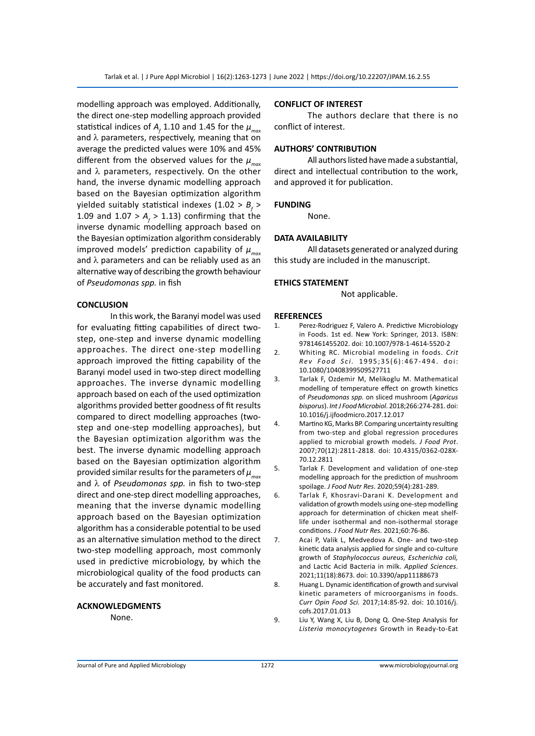modelling approach was employed. Additionally, the direct one-step modelling approach provided statistical indices of  $A_{\!_f}$  1.10 and 1.45 for the  $\mu_{\scriptscriptstyle max}$ and  $\lambda$  parameters, respectively, meaning that on average the predicted values were 10% and 45% different from the observed values for the  $\mu_{\text{max}}$ and  $\lambda$  parameters, respectively. On the other hand, the inverse dynamic modelling approach based on the Bayesian optimization algorithm yielded suitably statistical indexes (1.02 >  $B_f$  > 1.09 and  $1.07 > A_f > 1.13$ ) confirming that the inverse dynamic modelling approach based on the Bayesian optimization algorithm considerably improved models' prediction capability of  $\mu_{max}$ and  $\lambda$  parameters and can be reliably used as an alternative way of describing the growth behaviour of *Pseudomonas spp.* in fish

#### **CONCLUSION**

In this work, the Baranyi model was used for evaluating fitting capabilities of direct twostep, one-step and inverse dynamic modelling approaches. The direct one-step modelling approach improved the fitting capability of the Baranyi model used in two-step direct modelling approaches. The inverse dynamic modelling approach based on each of the used optimization algorithms provided better goodness of fit results compared to direct modelling approaches (twostep and one-step modelling approaches), but the Bayesian optimization algorithm was the best. The inverse dynamic modelling approach based on the Bayesian optimization algorithm provided similar results for the parameters of  $\mu_{\text{max}}$ and λ of *Pseudomonas spp.* in fish to two-step direct and one-step direct modelling approaches, meaning that the inverse dynamic modelling approach based on the Bayesian optimization algorithm has a considerable potential to be used as an alternative simulation method to the direct two-step modelling approach, most commonly used in predictive microbiology, by which the microbiological quality of the food products can be accurately and fast monitored.

#### **ACKNOWLEDGMENTS**

None.

### **CONFLICT OF INTEREST**

The authors declare that there is no conflict of interest.

### **AUTHORS' CONTRIBUTION**

All authors listed have made a substantial, direct and intellectual contribution to the work, and approved it for publication.

#### **FUNDING**

None.

#### **DATA AVAILABILITY**

All datasets generated or analyzed during this study are included in the manuscript.

### **ETHICS STATEMENT**

Not applicable.

## **REFERENCES**

- 1. Perez-Rodriguez F, Valero A. Predictive Microbiology in Foods. 1st ed. New York: Springer, 2013. ISBN: 9781461455202. doi: 10.1007/978-1-4614-5520-2
- 2. Whiting RC. Microbial modeling in foods. *Crit Rev Food Sci.* 1995;35(6):467-494. doi: 10.1080/10408399509527711
- 3. Tarlak F, Ozdemir M, Melikoglu M. Mathematical modelling of temperature effect on growth kinetics of *Pseudomonas spp.* on sliced mushroom (*Agaricus bisporus*). *Int J Food Microbiol*. 2018;266:274-281. doi: 10.1016/j.ijfoodmicro.2017.12.017
- 4. Martino KG, Marks BP. Comparing uncertainty resulting from two-step and global regression procedures applied to microbial growth models. *J Food Prot*. 2007;70(12):2811-2818. doi: 10.4315/0362-028X-70.12.2811
- 5. Tarlak F. Development and validation of one-step modelling approach for the prediction of mushroom spoilage. *J Food Nutr Res*. 2020;59(4):281-289.
- 6. Tarlak F, Khosravi-Darani K. Development and validation of growth models using one-step modelling approach for determination of chicken meat shelflife under isothermal and non-isothermal storage conditions. *J Food Nutr Res.* 2021;60:76-86.
- 7. Acai P, Valik L, Medvedova A. One- and two-step kinetic data analysis applied for single and co-culture growth of *Staphylococcus aureus, Escherichia coli,* and Lactic Acid Bacteria in milk. *Applied Sciences*. 2021;11(18):8673. doi: 10.3390/app11188673
- 8. Huang L. Dynamic identification of growth and survival kinetic parameters of microorganisms in foods. *Curr Opin Food Sci.* 2017;14:85-92. doi: 10.1016/j. cofs.2017.01.013
- 9. Liu Y, Wang X, Liu B, Dong Q. One-Step Analysis for *Listeria monocytogenes* Growth in Ready-to-Eat